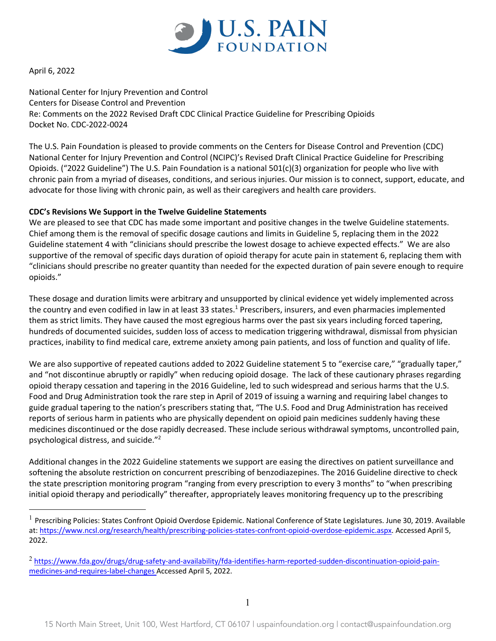

April 6, 2022

National Center for Injury Prevention and Control Centers for Disease Control and Prevention Re: Comments on the 2022 Revised Draft CDC Clinical Practice Guideline for Prescribing Opioids Docket No. CDC-2022-0024

The U.S. Pain Foundation is pleased to provide comments on the Centers for Disease Control and Prevention (CDC) National Center for Injury Prevention and Control (NCIPC)'s Revised Draft Clinical Practice Guideline for Prescribing Opioids. ("2022 Guideline") The U.S. Pain Foundation is a national  $501(c)(3)$  organization for people who live with chronic pain from a myriad of diseases, conditions, and serious injuries. Our mission is to connect, support, educate, and advocate for those living with chronic pain, as well as their caregivers and health care providers.

## **CDC's Revisions We Support in the Twelve Guideline Statements**

We are pleased to see that CDC has made some important and positive changes in the twelve Guideline statements. Chief among them is the removal of specific dosage cautions and limits in Guideline 5, replacing them in the 2022 Guideline statement 4 with "clinicians should prescribe the lowest dosage to achieve expected effects." We are also supportive of the removal of specific days duration of opioid therapy for acute pain in statement 6, replacing them with "clinicians should prescribe no greater quantity than needed for the expected duration of pain severe enough to require opioids."

These dosage and duration limits were arbitrary and unsupported by clinical evidence yet widely implemented across the country and even codified in law in at least 33 states.<sup>1</sup> Prescribers, insurers, and even pharmacies implemented them as strict limits. They have caused the most egregious harms over the past six years including forced tapering, hundreds of documented suicides, sudden loss of access to medication triggering withdrawal, dismissal from physician practices, inability to find medical care, extreme anxiety among pain patients, and loss of function and quality of life.

We are also supportive of repeated cautions added to 2022 Guideline statement 5 to "exercise care," "gradually taper," and "not discontinue abruptly or rapidly" when reducing opioid dosage. The lack of these cautionary phrases regarding opioid therapy cessation and tapering in the 2016 Guideline, led to such widespread and serious harms that the U.S. Food and Drug Administration took the rare step in April of 2019 of issuing a warning and requiring label changes to guide gradual tapering to the nation's prescribers stating that, "The U.S. Food and Drug Administration has received reports of serious harm in patients who are physically dependent on opioid pain medicines suddenly having these medicines discontinued or the dose rapidly decreased. These include serious withdrawal symptoms, uncontrolled pain, psychological distress, and suicide."2

Additional changes in the 2022 Guideline statements we support are easing the directives on patient surveillance and softening the absolute restriction on concurrent prescribing of benzodiazepines. The 2016 Guideline directive to check the state prescription monitoring program "ranging from every prescription to every 3 months" to "when prescribing initial opioid therapy and periodically" thereafter, appropriately leaves monitoring frequency up to the prescribing

<sup>&</sup>lt;sup>1</sup> Prescribing Policies: States Confront Opioid Overdose Epidemic. National Conference of State Legislatures. June 30, 2019. Available at: https://www.ncsl.org/research/health/prescribing-policies-states-confront-opioid-overdose-epidemic.aspx. Accessed April 5, 2022.

<sup>&</sup>lt;sup>2</sup> https://www.fda.gov/drugs/drug-safety-and-availability/fda-identifies-harm-reported-sudden-discontinuation-opioid-painmedicines-and-requires-label-changes Accessed April 5, 2022.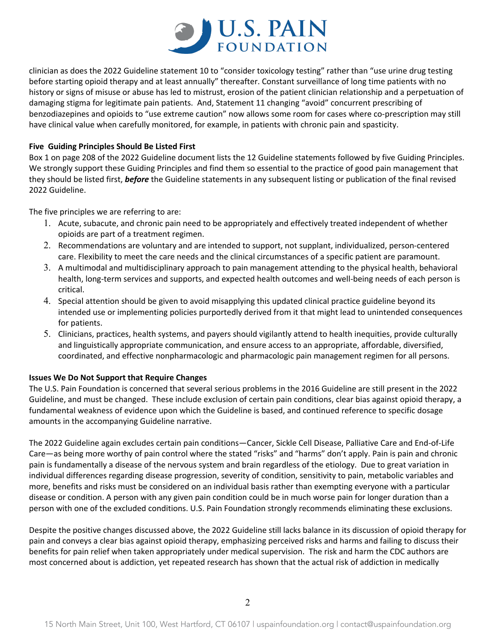

clinician as does the 2022 Guideline statement 10 to "consider toxicology testing" rather than "use urine drug testing before starting opioid therapy and at least annually" thereafter. Constant surveillance of long time patients with no history or signs of misuse or abuse has led to mistrust, erosion of the patient clinician relationship and a perpetuation of damaging stigma for legitimate pain patients. And, Statement 11 changing "avoid" concurrent prescribing of benzodiazepines and opioids to "use extreme caution" now allows some room for cases where co-prescription may still have clinical value when carefully monitored, for example, in patients with chronic pain and spasticity.

## **Five Guiding Principles Should Be Listed First**

Box 1 on page 208 of the 2022 Guideline document lists the 12 Guideline statements followed by five Guiding Principles. We strongly support these Guiding Principles and find them so essential to the practice of good pain management that they should be listed first, *before* the Guideline statements in any subsequent listing or publication of the final revised 2022 Guideline.

The five principles we are referring to are:

- 1. Acute, subacute, and chronic pain need to be appropriately and effectively treated independent of whether opioids are part of a treatment regimen.
- 2. Recommendations are voluntary and are intended to support, not supplant, individualized, person-centered care. Flexibility to meet the care needs and the clinical circumstances of a specific patient are paramount.
- 3. A multimodal and multidisciplinary approach to pain management attending to the physical health, behavioral health, long-term services and supports, and expected health outcomes and well-being needs of each person is critical.
- 4. Special attention should be given to avoid misapplying this updated clinical practice guideline beyond its intended use or implementing policies purportedly derived from it that might lead to unintended consequences for patients.
- 5. Clinicians, practices, health systems, and payers should vigilantly attend to health inequities, provide culturally and linguistically appropriate communication, and ensure access to an appropriate, affordable, diversified, coordinated, and effective nonpharmacologic and pharmacologic pain management regimen for all persons.

## **Issues We Do Not Support that Require Changes**

The U.S. Pain Foundation is concerned that several serious problems in the 2016 Guideline are still present in the 2022 Guideline, and must be changed. These include exclusion of certain pain conditions, clear bias against opioid therapy, a fundamental weakness of evidence upon which the Guideline is based, and continued reference to specific dosage amounts in the accompanying Guideline narrative.

The 2022 Guideline again excludes certain pain conditions—Cancer, Sickle Cell Disease, Palliative Care and End-of-Life Care—as being more worthy of pain control where the stated "risks" and "harms" don't apply. Pain is pain and chronic pain is fundamentally a disease of the nervous system and brain regardless of the etiology. Due to great variation in individual differences regarding disease progression, severity of condition, sensitivity to pain, metabolic variables and more, benefits and risks must be considered on an individual basis rather than exempting everyone with a particular disease or condition. A person with any given pain condition could be in much worse pain for longer duration than a person with one of the excluded conditions. U.S. Pain Foundation strongly recommends eliminating these exclusions.

Despite the positive changes discussed above, the 2022 Guideline still lacks balance in its discussion of opioid therapy for pain and conveys a clear bias against opioid therapy, emphasizing perceived risks and harms and failing to discuss their benefits for pain relief when taken appropriately under medical supervision. The risk and harm the CDC authors are most concerned about is addiction, yet repeated research has shown that the actual risk of addiction in medically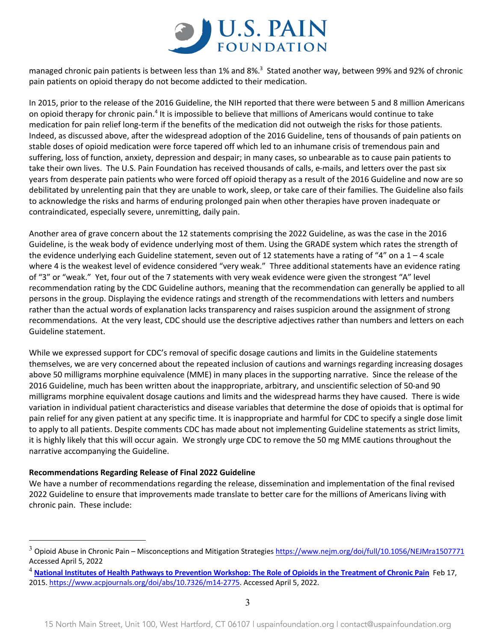

managed chronic pain patients is between less than 1% and 8%.<sup>3</sup> Stated another way, between 99% and 92% of chronic pain patients on opioid therapy do not become addicted to their medication.

In 2015, prior to the release of the 2016 Guideline, the NIH reported that there were between 5 and 8 million Americans on opioid therapy for chronic pain.4 It is impossible to believe that millions of Americans would continue to take medication for pain relief long-term if the benefits of the medication did not outweigh the risks for those patients. Indeed, as discussed above, after the widespread adoption of the 2016 Guideline, tens of thousands of pain patients on stable doses of opioid medication were force tapered off which led to an inhumane crisis of tremendous pain and suffering, loss of function, anxiety, depression and despair; in many cases, so unbearable as to cause pain patients to take their own lives. The U.S. Pain Foundation has received thousands of calls, e-mails, and letters over the past six years from desperate pain patients who were forced off opioid therapy as a result of the 2016 Guideline and now are so debilitated by unrelenting pain that they are unable to work, sleep, or take care of their families. The Guideline also fails to acknowledge the risks and harms of enduring prolonged pain when other therapies have proven inadequate or contraindicated, especially severe, unremitting, daily pain.

Another area of grave concern about the 12 statements comprising the 2022 Guideline, as was the case in the 2016 Guideline, is the weak body of evidence underlying most of them. Using the GRADE system which rates the strength of the evidence underlying each Guideline statement, seven out of 12 statements have a rating of "4" on a  $1 - 4$  scale where 4 is the weakest level of evidence considered "very weak." Three additional statements have an evidence rating of "3" or "weak." Yet, four out of the 7 statements with very weak evidence were given the strongest "A" level recommendation rating by the CDC Guideline authors, meaning that the recommendation can generally be applied to all persons in the group. Displaying the evidence ratings and strength of the recommendations with letters and numbers rather than the actual words of explanation lacks transparency and raises suspicion around the assignment of strong recommendations. At the very least, CDC should use the descriptive adjectives rather than numbers and letters on each Guideline statement.

While we expressed support for CDC's removal of specific dosage cautions and limits in the Guideline statements themselves, we are very concerned about the repeated inclusion of cautions and warnings regarding increasing dosages above 50 milligrams morphine equivalence (MME) in many places in the supporting narrative. Since the release of the 2016 Guideline, much has been written about the inappropriate, arbitrary, and unscientific selection of 50-and 90 milligrams morphine equivalent dosage cautions and limits and the widespread harms they have caused. There is wide variation in individual patient characteristics and disease variables that determine the dose of opioids that is optimal for pain relief for any given patient at any specific time. It is inappropriate and harmful for CDC to specify a single dose limit to apply to all patients. Despite comments CDC has made about not implementing Guideline statements as strict limits, it is highly likely that this will occur again. We strongly urge CDC to remove the 50 mg MME cautions throughout the narrative accompanying the Guideline.

### **Recommendations Regarding Release of Final 2022 Guideline**

We have a number of recommendations regarding the release, dissemination and implementation of the final revised 2022 Guideline to ensure that improvements made translate to better care for the millions of Americans living with chronic pain. These include:

<sup>&</sup>lt;sup>3</sup> Opioid Abuse in Chronic Pain – Misconceptions and Mitigation Strategies https://www.nejm.org/doi/full/10.1056/NEJMra1507771 Accessed April 5, 2022

<sup>4</sup> **National Institutes of Health Pathways to Prevention Workshop: The Role of Opioids in the Treatment of Chronic Pain** Feb 17, 2015. https://www.acpjournals.org/doi/abs/10.7326/m14-2775. Accessed April 5, 2022.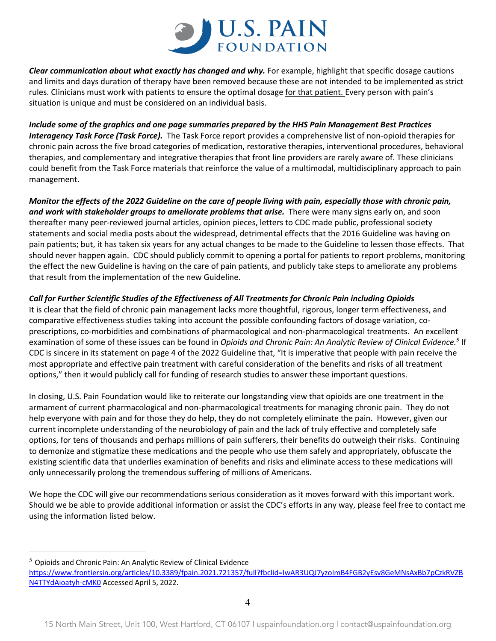

*Clear communication about what exactly has changed and why.* For example, highlight that specific dosage cautions and limits and days duration of therapy have been removed because these are not intended to be implemented as strict rules. Clinicians must work with patients to ensure the optimal dosage for that patient. Every person with pain's situation is unique and must be considered on an individual basis.

*Include some of the graphics and one page summaries prepared by the HHS Pain Management Best Practices Interagency Task Force (Task Force).* The Task Force report provides a comprehensive list of non-opioid therapies for chronic pain across the five broad categories of medication, restorative therapies, interventional procedures, behavioral therapies, and complementary and integrative therapies that front line providers are rarely aware of. These clinicians could benefit from the Task Force materials that reinforce the value of a multimodal, multidisciplinary approach to pain management.

*Monitor the effects of the 2022 Guideline on the care of people living with pain, especially those with chronic pain, and work with stakeholder groups to ameliorate problems that arise.* There were many signs early on, and soon thereafter many peer-reviewed journal articles, opinion pieces, letters to CDC made public, professional society statements and social media posts about the widespread, detrimental effects that the 2016 Guideline was having on pain patients; but, it has taken six years for any actual changes to be made to the Guideline to lessen those effects. That should never happen again. CDC should publicly commit to opening a portal for patients to report problems, monitoring the effect the new Guideline is having on the care of pain patients, and publicly take steps to ameliorate any problems that result from the implementation of the new Guideline.

# *Call for Further Scientific Studies of the Effectiveness of All Treatments for Chronic Pain including Opioids*

It is clear that the field of chronic pain management lacks more thoughtful, rigorous, longer term effectiveness, and comparative effectiveness studies taking into account the possible confounding factors of dosage variation, coprescriptions, co-morbidities and combinations of pharmacological and non-pharmacological treatments. An excellent examination of some of these issues can be found in *Opioids and Chronic Pain: An Analytic Review of Clinical Evidence.5* If CDC is sincere in its statement on page 4 of the 2022 Guideline that, "It is imperative that people with pain receive the most appropriate and effective pain treatment with careful consideration of the benefits and risks of all treatment options," then it would publicly call for funding of research studies to answer these important questions.

In closing, U.S. Pain Foundation would like to reiterate our longstanding view that opioids are one treatment in the armament of current pharmacological and non-pharmacological treatments for managing chronic pain. They do not help everyone with pain and for those they do help, they do not completely eliminate the pain. However, given our current incomplete understanding of the neurobiology of pain and the lack of truly effective and completely safe options, for tens of thousands and perhaps millions of pain sufferers, their benefits do outweigh their risks. Continuing to demonize and stigmatize these medications and the people who use them safely and appropriately, obfuscate the existing scientific data that underlies examination of benefits and risks and eliminate access to these medications will only unnecessarily prolong the tremendous suffering of millions of Americans.

We hope the CDC will give our recommendations serious consideration as it moves forward with this important work. Should we be able to provide additional information or assist the CDC's efforts in any way, please feel free to contact me using the information listed below.

 $5$  Opioids and Chronic Pain: An Analytic Review of Clinical Evidence https://www.frontiersin.org/articles/10.3389/fpain.2021.721357/full?fbclid=IwAR3UQJ7yzoImB4FGB2yEsv8GeMNsAxBb7pCzkRVZB N4TTYdAioatyh-cMK0 Accessed April 5, 2022.